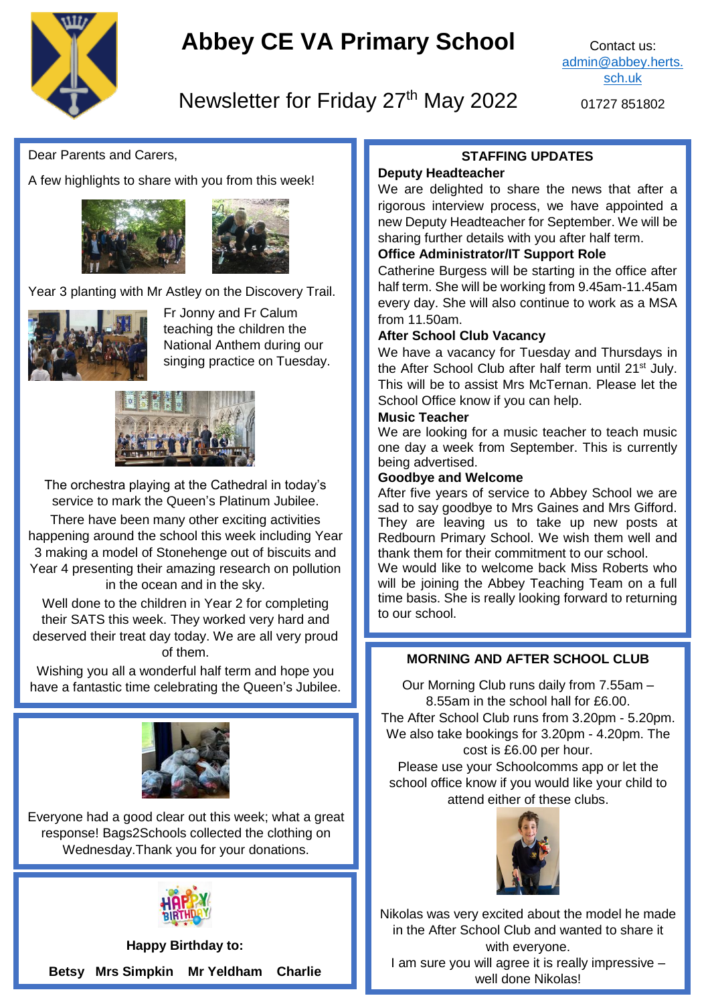

# **Abbey CE VA Primary School**

Contact us: [admin@abbey.herts.](mailto:admin@abbey.herts.sch.uk) [sch.uk](mailto:admin@abbey.herts.sch.uk)

# Newsletter for Friday 27<sup>th</sup> May 2022

01727 851802

Dear Parents and Carers,

A few highlights to share with you from this week!





Year 3 planting with Mr Astley on the Discovery Trail.



Fr Jonny and Fr Calum teaching the children the National Anthem during our singing practice on Tuesday.



The orchestra playing at the Cathedral in today's service to mark the Queen's Platinum Jubilee. There have been many other exciting activities happening around the school this week including Year 3 making a model of Stonehenge out of biscuits and Year 4 presenting their amazing research on pollution in the ocean and in the sky.

Well done to the children in Year 2 for completing their SATS this week. They worked very hard and deserved their treat day today. We are all very proud of them.

Wishing you all a wonderful half term and hope you have a fantastic time celebrating the Queen's Jubilee.



Everyone had a good clear out this week; what a great response! Bags2Schools collected the clothing on Wednesday.Thank you for your donations.



**Happy Birthday to: Betsy Mrs Simpkin Mr Yeldham Charlie**

## **STAFFING UPDATES**

#### **Deputy Headteacher**

We are delighted to share the news that after a rigorous interview process, we have appointed a new Deputy Headteacher for September. We will be sharing further details with you after half term.

#### **Office Administrator/IT Support Role**

Catherine Burgess will be starting in the office after half term. She will be working from 9.45am-11.45am every day. She will also continue to work as a MSA from 11.50am.

#### **After School Club Vacancy**

We have a vacancy for Tuesday and Thursdays in the After School Club after half term until 21<sup>st</sup> July. This will be to assist Mrs McTernan. Please let the School Office know if you can help.

#### **Music Teacher**

We are looking for a music teacher to teach music one day a week from September. This is currently being advertised.

#### **Goodbye and Welcome**

After five years of service to Abbey School we are sad to say goodbye to Mrs Gaines and Mrs Gifford. They are leaving us to take up new posts at Redbourn Primary School. We wish them well and thank them for their commitment to our school.

We would like to welcome back Miss Roberts who will be joining the Abbey Teaching Team on a full time basis. She is really looking forward to returning to our school.

## **MORNING AND AFTER SCHOOL CLUB**

Our Morning Club runs daily from 7.55am – 8.55am in the school hall for £6.00.

The After School Club runs from 3.20pm - 5.20pm. We also take bookings for 3.20pm - 4.20pm. The cost is £6.00 per hour.

Please use your Schoolcomms app or let the school office know if you would like your child to attend either of these clubs.



Nikolas was very excited about the model he made in the After School Club and wanted to share it with everyone. I am sure you will agree it is really impressive – well done Nikolas!